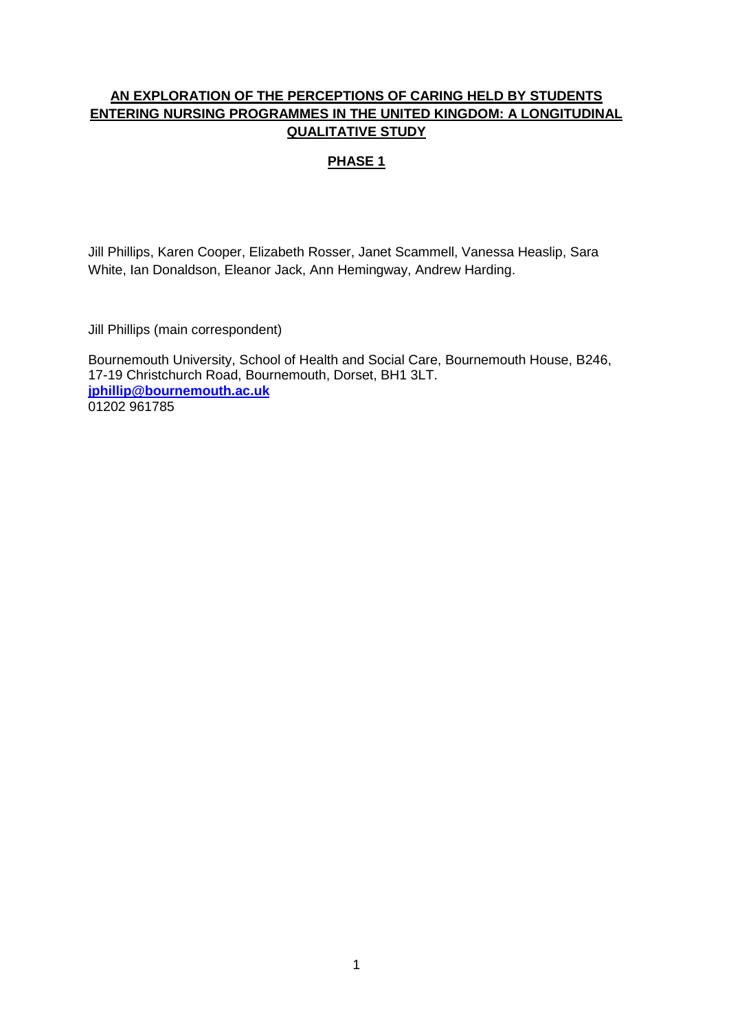# **AN EXPLORATION OF THE PERCEPTIONS OF CARING HELD BY STUDENTS ENTERING NURSING PROGRAMMES IN THE UNITED KINGDOM: A LONGITUDINAL QUALITATIVE STUDY**

# **PHASE 1**

Jill Phillips, Karen Cooper, Elizabeth Rosser, Janet Scammell, Vanessa Heaslip, Sara White, Ian Donaldson, Eleanor Jack, Ann Hemingway, Andrew Harding.

Jill Phillips (main correspondent)

Bournemouth University, School of Health and Social Care, Bournemouth House, B246, 17-19 Christchurch Road, Bournemouth, Dorset, BH1 3LT. **[jphillip@bournemouth.ac.uk](mailto:jphillip@bournemouth.ac.uk)** 01202 961785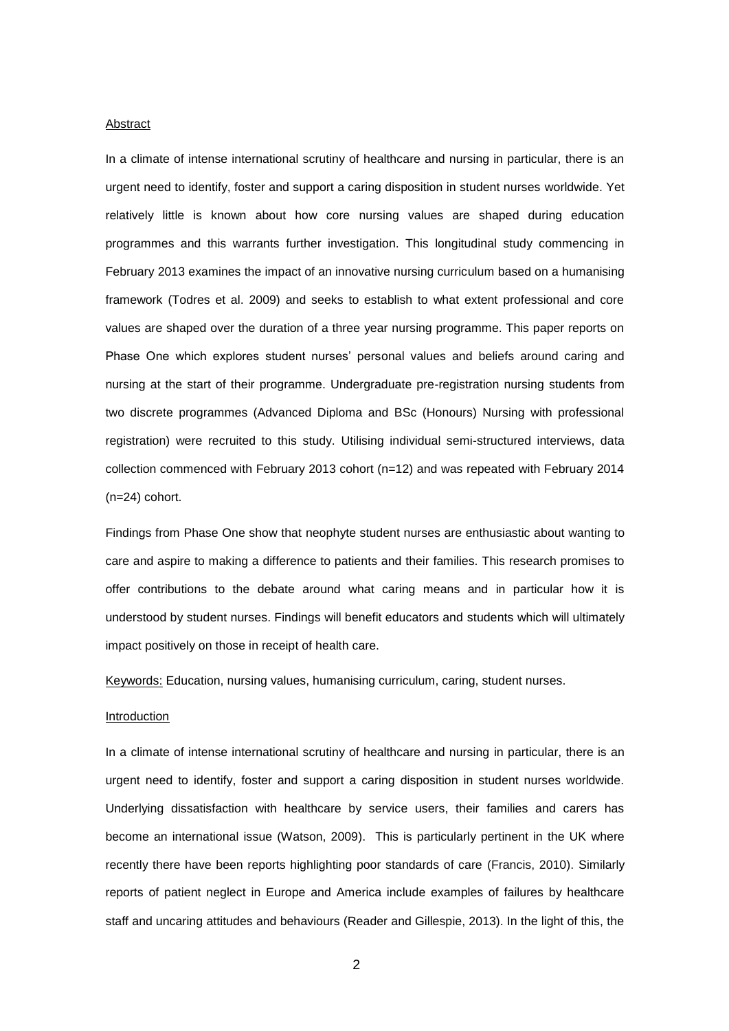#### Abstract

In a climate of intense international scrutiny of healthcare and nursing in particular, there is an urgent need to identify, foster and support a caring disposition in student nurses worldwide. Yet relatively little is known about how core nursing values are shaped during education programmes and this warrants further investigation. This longitudinal study commencing in February 2013 examines the impact of an innovative nursing curriculum based on a humanising framework (Todres et al. 2009) and seeks to establish to what extent professional and core values are shaped over the duration of a three year nursing programme. This paper reports on Phase One which explores student nurses' personal values and beliefs around caring and nursing at the start of their programme. Undergraduate pre-registration nursing students from two discrete programmes (Advanced Diploma and BSc (Honours) Nursing with professional registration) were recruited to this study. Utilising individual semi-structured interviews, data collection commenced with February 2013 cohort (n=12) and was repeated with February 2014 (n=24) cohort.

Findings from Phase One show that neophyte student nurses are enthusiastic about wanting to care and aspire to making a difference to patients and their families. This research promises to offer contributions to the debate around what caring means and in particular how it is understood by student nurses. Findings will benefit educators and students which will ultimately impact positively on those in receipt of health care.

Keywords: Education, nursing values, humanising curriculum, caring, student nurses.

# Introduction

In a climate of intense international scrutiny of healthcare and nursing in particular, there is an urgent need to identify, foster and support a caring disposition in student nurses worldwide. Underlying dissatisfaction with healthcare by service users, their families and carers has become an international issue (Watson, 2009). This is particularly pertinent in the UK where recently there have been reports highlighting poor standards of care (Francis, 2010). Similarly reports of patient neglect in Europe and America include examples of failures by healthcare staff and uncaring attitudes and behaviours (Reader and Gillespie, 2013). In the light of this, the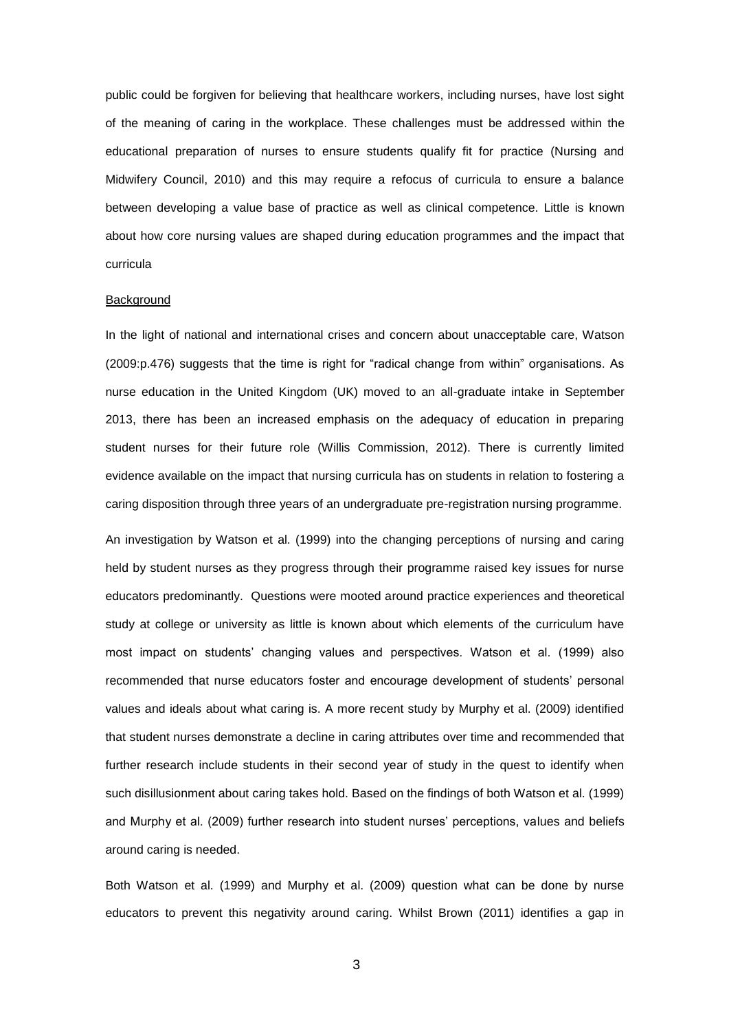public could be forgiven for believing that healthcare workers, including nurses, have lost sight of the meaning of caring in the workplace. These challenges must be addressed within the educational preparation of nurses to ensure students qualify fit for practice (Nursing and Midwifery Council, 2010) and this may require a refocus of curricula to ensure a balance between developing a value base of practice as well as clinical competence. Little is known about how core nursing values are shaped during education programmes and the impact that curricula

#### **Background**

In the light of national and international crises and concern about unacceptable care, Watson (2009:p.476) suggests that the time is right for "radical change from within" organisations. As nurse education in the United Kingdom (UK) moved to an all-graduate intake in September 2013, there has been an increased emphasis on the adequacy of education in preparing student nurses for their future role (Willis Commission, 2012). There is currently limited evidence available on the impact that nursing curricula has on students in relation to fostering a caring disposition through three years of an undergraduate pre-registration nursing programme.

An investigation by Watson et al. (1999) into the changing perceptions of nursing and caring held by student nurses as they progress through their programme raised key issues for nurse educators predominantly. Questions were mooted around practice experiences and theoretical study at college or university as little is known about which elements of the curriculum have most impact on students' changing values and perspectives. Watson et al. (1999) also recommended that nurse educators foster and encourage development of students' personal values and ideals about what caring is. A more recent study by Murphy et al. (2009) identified that student nurses demonstrate a decline in caring attributes over time and recommended that further research include students in their second year of study in the quest to identify when such disillusionment about caring takes hold. Based on the findings of both Watson et al. (1999) and Murphy et al. (2009) further research into student nurses' perceptions, values and beliefs around caring is needed.

Both Watson et al. (1999) and Murphy et al. (2009) question what can be done by nurse educators to prevent this negativity around caring. Whilst Brown (2011) identifies a gap in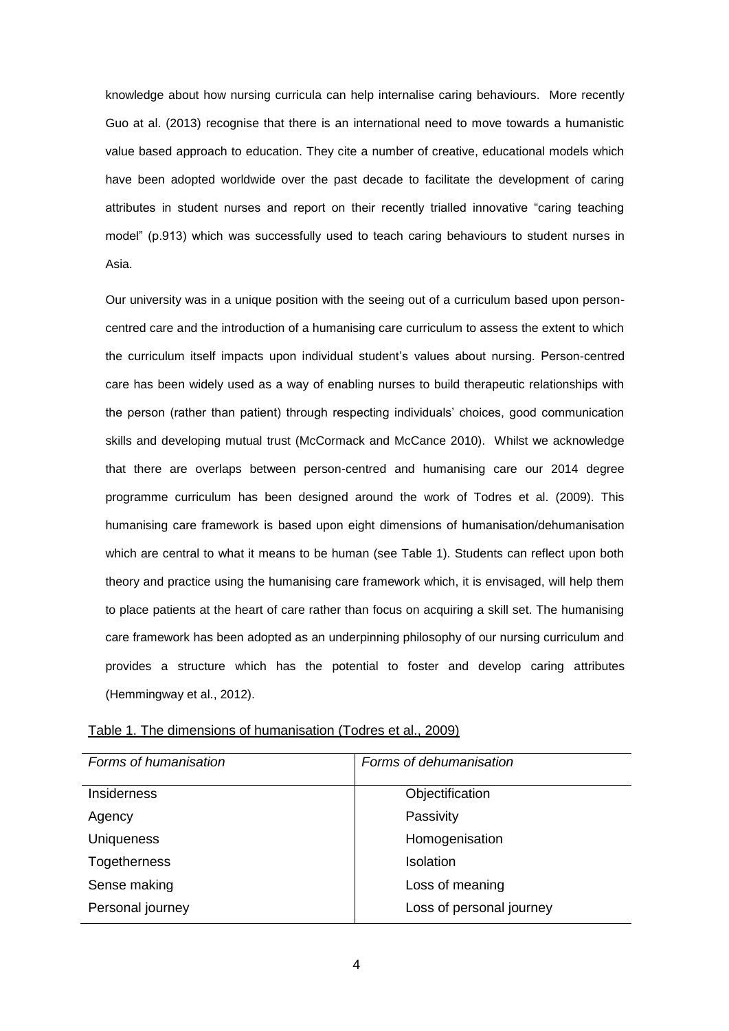knowledge about how nursing curricula can help internalise caring behaviours. More recently Guo at al. (2013) recognise that there is an international need to move towards a humanistic value based approach to education. They cite a number of creative, educational models which have been adopted worldwide over the past decade to facilitate the development of caring attributes in student nurses and report on their recently trialled innovative "caring teaching model" (p.913) which was successfully used to teach caring behaviours to student nurses in Asia.

Our university was in a unique position with the seeing out of a curriculum based upon personcentred care and the introduction of a humanising care curriculum to assess the extent to which the curriculum itself impacts upon individual student's values about nursing. Person-centred care has been widely used as a way of enabling nurses to build therapeutic relationships with the person (rather than patient) through respecting individuals' choices, good communication skills and developing mutual trust (McCormack and McCance 2010). Whilst we acknowledge that there are overlaps between person-centred and humanising care our 2014 degree programme curriculum has been designed around the work of Todres et al. (2009). This humanising care framework is based upon eight dimensions of humanisation/dehumanisation which are central to what it means to be human (see Table 1). Students can reflect upon both theory and practice using the humanising care framework which, it is envisaged, will help them to place patients at the heart of care rather than focus on acquiring a skill set. The humanising care framework has been adopted as an underpinning philosophy of our nursing curriculum and provides a structure which has the potential to foster and develop caring attributes (Hemmingway et al., 2012).

| Forms of humanisation | Forms of dehumanisation  |
|-----------------------|--------------------------|
| <b>Insiderness</b>    | Objectification          |
| Agency                | Passivity                |
| <b>Uniqueness</b>     | Homogenisation           |
| Togetherness          | <b>Isolation</b>         |
| Sense making          | Loss of meaning          |
| Personal journey      | Loss of personal journey |

|  | Table 1. The dimensions of humanisation (Todres et al., 2009) |  |
|--|---------------------------------------------------------------|--|
|  |                                                               |  |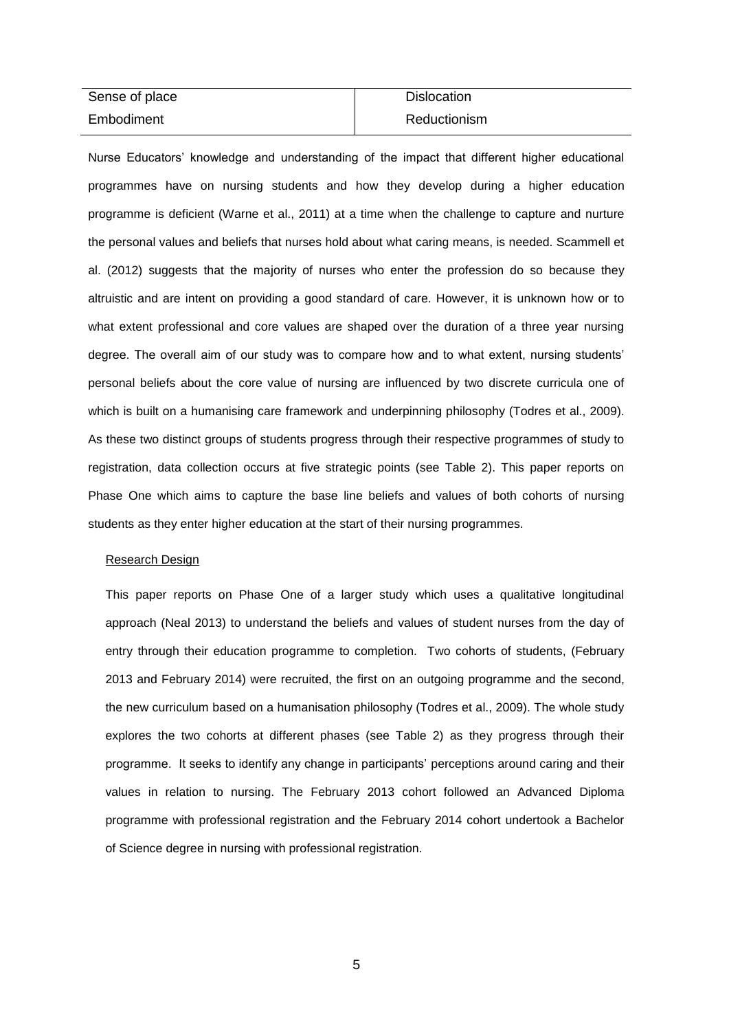| Sense of place | <b>Dislocation</b> |
|----------------|--------------------|
| Embodiment     | Reductionism       |

Nurse Educators' knowledge and understanding of the impact that different higher educational programmes have on nursing students and how they develop during a higher education programme is deficient (Warne et al., 2011) at a time when the challenge to capture and nurture the personal values and beliefs that nurses hold about what caring means, is needed. Scammell et al. (2012) suggests that the majority of nurses who enter the profession do so because they altruistic and are intent on providing a good standard of care. However, it is unknown how or to what extent professional and core values are shaped over the duration of a three year nursing degree. The overall aim of our study was to compare how and to what extent, nursing students' personal beliefs about the core value of nursing are influenced by two discrete curricula one of which is built on a humanising care framework and underpinning philosophy (Todres et al., 2009). As these two distinct groups of students progress through their respective programmes of study to registration, data collection occurs at five strategic points (see Table 2). This paper reports on Phase One which aims to capture the base line beliefs and values of both cohorts of nursing students as they enter higher education at the start of their nursing programmes.

### Research Design

This paper reports on Phase One of a larger study which uses a qualitative longitudinal approach (Neal 2013) to understand the beliefs and values of student nurses from the day of entry through their education programme to completion. Two cohorts of students, (February 2013 and February 2014) were recruited, the first on an outgoing programme and the second, the new curriculum based on a humanisation philosophy (Todres et al., 2009). The whole study explores the two cohorts at different phases (see Table 2) as they progress through their programme. It seeks to identify any change in participants' perceptions around caring and their values in relation to nursing. The February 2013 cohort followed an Advanced Diploma programme with professional registration and the February 2014 cohort undertook a Bachelor of Science degree in nursing with professional registration.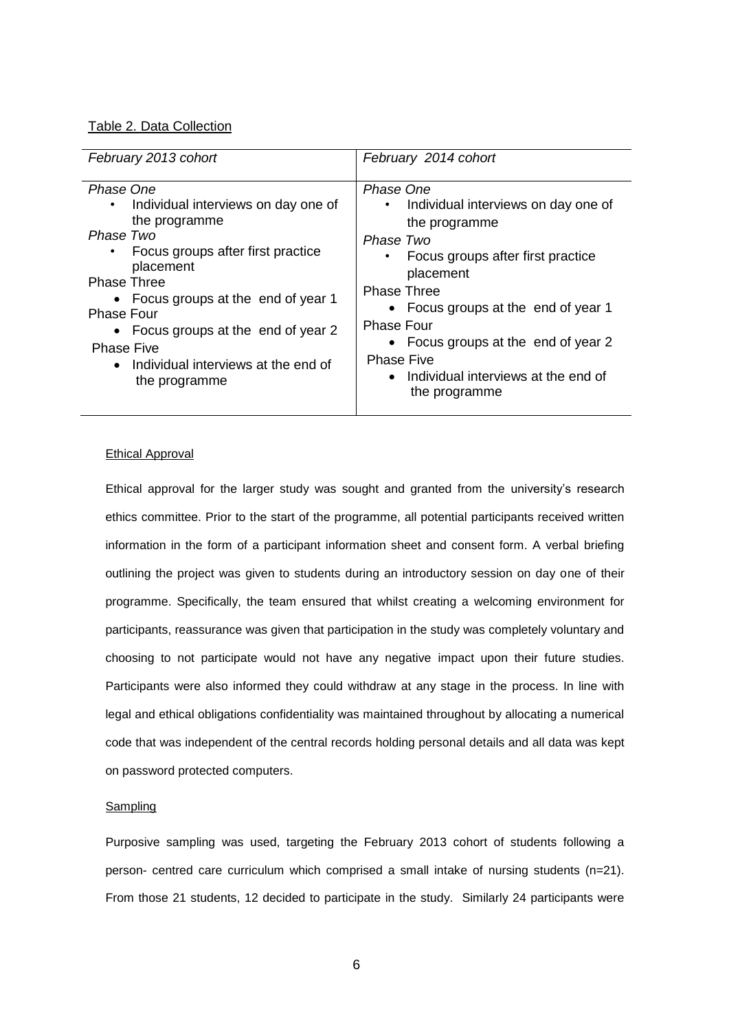# Table 2. Data Collection

| February 2013 cohort                  | February 2014 cohort                  |
|---------------------------------------|---------------------------------------|
| Phase One                             | Phase One                             |
| Individual interviews on day one of   | Individual interviews on day one of   |
| $\bullet$                             | $\bullet$                             |
| the programme                         | the programme                         |
| Phase Two                             | Phase Two                             |
| Focus groups after first practice     | • Focus groups after first practice   |
| placement                             | placement                             |
| <b>Phase Three</b>                    | <b>Phase Three</b>                    |
| • Focus groups at the end of year 1   | • Focus groups at the end of year 1   |
| <b>Phase Four</b>                     | <b>Phase Four</b>                     |
| • Focus groups at the end of year 2   | • Focus groups at the end of year 2   |
| <b>Phase Five</b>                     | <b>Phase Five</b>                     |
| • Individual interviews at the end of | • Individual interviews at the end of |
| the programme                         | the programme                         |

# Ethical Approval

Ethical approval for the larger study was sought and granted from the university's research ethics committee. Prior to the start of the programme, all potential participants received written information in the form of a participant information sheet and consent form. A verbal briefing outlining the project was given to students during an introductory session on day one of their programme. Specifically, the team ensured that whilst creating a welcoming environment for participants, reassurance was given that participation in the study was completely voluntary and choosing to not participate would not have any negative impact upon their future studies. Participants were also informed they could withdraw at any stage in the process. In line with legal and ethical obligations confidentiality was maintained throughout by allocating a numerical code that was independent of the central records holding personal details and all data was kept on password protected computers.

#### Sampling

Purposive sampling was used, targeting the February 2013 cohort of students following a person- centred care curriculum which comprised a small intake of nursing students (n=21). From those 21 students, 12 decided to participate in the study. Similarly 24 participants were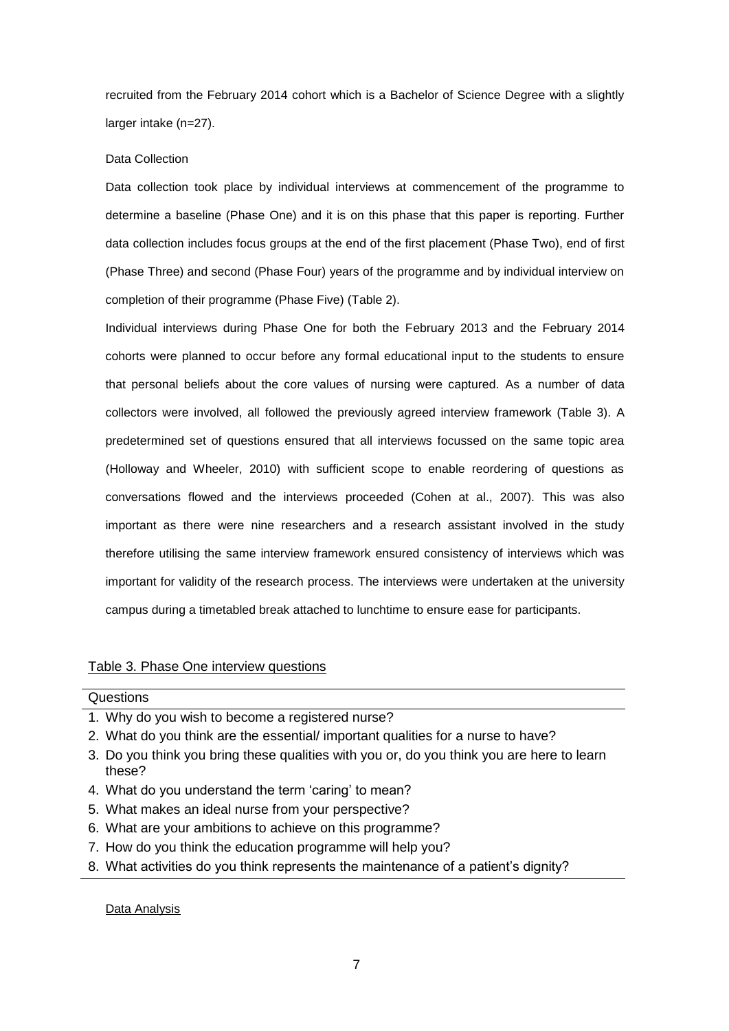recruited from the February 2014 cohort which is a Bachelor of Science Degree with a slightly larger intake (n=27).

# Data Collection

Data collection took place by individual interviews at commencement of the programme to determine a baseline (Phase One) and it is on this phase that this paper is reporting. Further data collection includes focus groups at the end of the first placement (Phase Two), end of first (Phase Three) and second (Phase Four) years of the programme and by individual interview on completion of their programme (Phase Five) (Table 2).

Individual interviews during Phase One for both the February 2013 and the February 2014 cohorts were planned to occur before any formal educational input to the students to ensure that personal beliefs about the core values of nursing were captured. As a number of data collectors were involved, all followed the previously agreed interview framework (Table 3). A predetermined set of questions ensured that all interviews focussed on the same topic area (Holloway and Wheeler, 2010) with sufficient scope to enable reordering of questions as conversations flowed and the interviews proceeded (Cohen at al., 2007). This was also important as there were nine researchers and a research assistant involved in the study therefore utilising the same interview framework ensured consistency of interviews which was important for validity of the research process. The interviews were undertaken at the university campus during a timetabled break attached to lunchtime to ensure ease for participants.

# Table 3. Phase One interview questions

# Questions

- 1. Why do you wish to become a registered nurse?
- 2. What do you think are the essential/ important qualities for a nurse to have?
- 3. Do you think you bring these qualities with you or, do you think you are here to learn these?
- 4. What do you understand the term 'caring' to mean?
- 5. What makes an ideal nurse from your perspective?
- 6. What are your ambitions to achieve on this programme?
- 7. How do you think the education programme will help you?
- 8. What activities do you think represents the maintenance of a patient's dignity?

## Data Analysis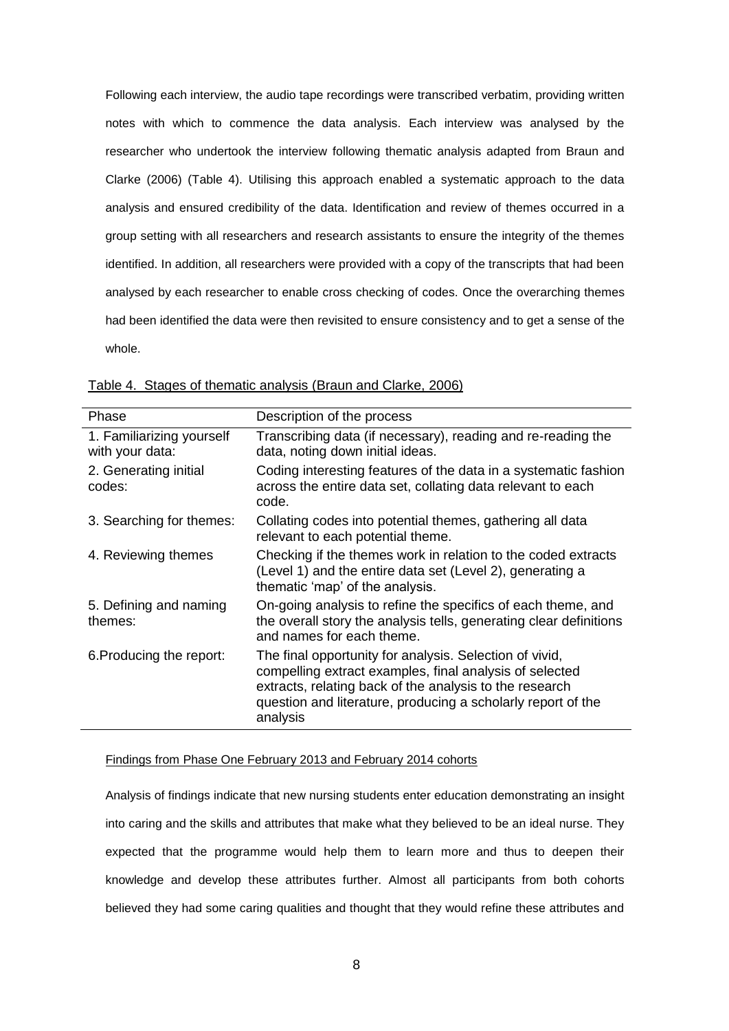Following each interview, the audio tape recordings were transcribed verbatim, providing written notes with which to commence the data analysis. Each interview was analysed by the researcher who undertook the interview following thematic analysis adapted from Braun and Clarke (2006) (Table 4). Utilising this approach enabled a systematic approach to the data analysis and ensured credibility of the data. Identification and review of themes occurred in a group setting with all researchers and research assistants to ensure the integrity of the themes identified. In addition, all researchers were provided with a copy of the transcripts that had been analysed by each researcher to enable cross checking of codes. Once the overarching themes had been identified the data were then revisited to ensure consistency and to get a sense of the whole.

| Phase                                        | Description of the process                                                                                                                                                                                                                                |
|----------------------------------------------|-----------------------------------------------------------------------------------------------------------------------------------------------------------------------------------------------------------------------------------------------------------|
| 1. Familiarizing yourself<br>with your data: | Transcribing data (if necessary), reading and re-reading the<br>data, noting down initial ideas.                                                                                                                                                          |
| 2. Generating initial<br>codes:              | Coding interesting features of the data in a systematic fashion<br>across the entire data set, collating data relevant to each<br>code.                                                                                                                   |
| 3. Searching for themes:                     | Collating codes into potential themes, gathering all data<br>relevant to each potential theme.                                                                                                                                                            |
| 4. Reviewing themes                          | Checking if the themes work in relation to the coded extracts<br>(Level 1) and the entire data set (Level 2), generating a<br>thematic 'map' of the analysis.                                                                                             |
| 5. Defining and naming<br>themes:            | On-going analysis to refine the specifics of each theme, and<br>the overall story the analysis tells, generating clear definitions<br>and names for each theme.                                                                                           |
| 6. Producing the report:                     | The final opportunity for analysis. Selection of vivid,<br>compelling extract examples, final analysis of selected<br>extracts, relating back of the analysis to the research<br>question and literature, producing a scholarly report of the<br>analysis |

| Table 4. Stages of thematic analysis (Braun and Clarke, 2006) |  |
|---------------------------------------------------------------|--|
|---------------------------------------------------------------|--|

#### Findings from Phase One February 2013 and February 2014 cohorts

Analysis of findings indicate that new nursing students enter education demonstrating an insight into caring and the skills and attributes that make what they believed to be an ideal nurse. They expected that the programme would help them to learn more and thus to deepen their knowledge and develop these attributes further. Almost all participants from both cohorts believed they had some caring qualities and thought that they would refine these attributes and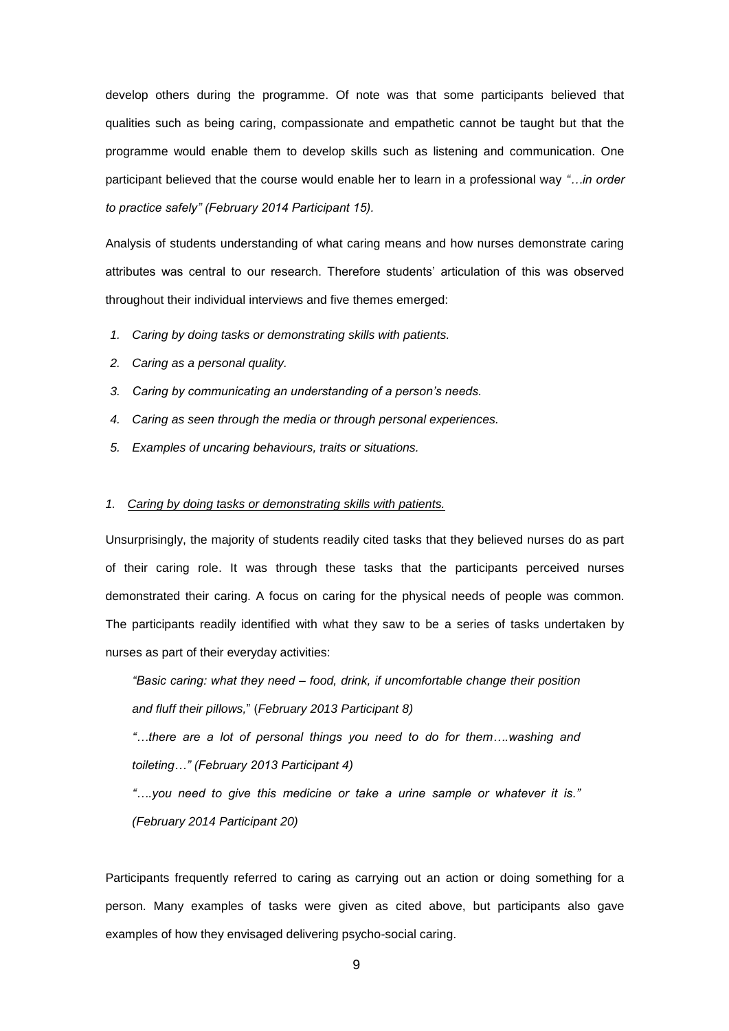develop others during the programme. Of note was that some participants believed that qualities such as being caring, compassionate and empathetic cannot be taught but that the programme would enable them to develop skills such as listening and communication. One participant believed that the course would enable her to learn in a professional way *"…in order to practice safely" (February 2014 Participant 15).* 

Analysis of students understanding of what caring means and how nurses demonstrate caring attributes was central to our research. Therefore students' articulation of this was observed throughout their individual interviews and five themes emerged:

- *1. Caring by doing tasks or demonstrating skills with patients.*
- *2. Caring as a personal quality.*
- *3. Caring by communicating an understanding of a person's needs.*
- *4. Caring as seen through the media or through personal experiences.*
- *5. Examples of uncaring behaviours, traits or situations.*

## *1. Caring by doing tasks or demonstrating skills with patients.*

Unsurprisingly, the majority of students readily cited tasks that they believed nurses do as part of their caring role. It was through these tasks that the participants perceived nurses demonstrated their caring. A focus on caring for the physical needs of people was common. The participants readily identified with what they saw to be a series of tasks undertaken by nurses as part of their everyday activities:

*"Basic caring: what they need – food, drink, if uncomfortable change their position and fluff their pillows,*" (*February 2013 Participant 8)*

*"…there are a lot of personal things you need to do for them….washing and toileting…" (February 2013 Participant 4)*

*"….you need to give this medicine or take a urine sample or whatever it is." (February 2014 Participant 20)*

Participants frequently referred to caring as carrying out an action or doing something for a person. Many examples of tasks were given as cited above, but participants also gave examples of how they envisaged delivering psycho-social caring.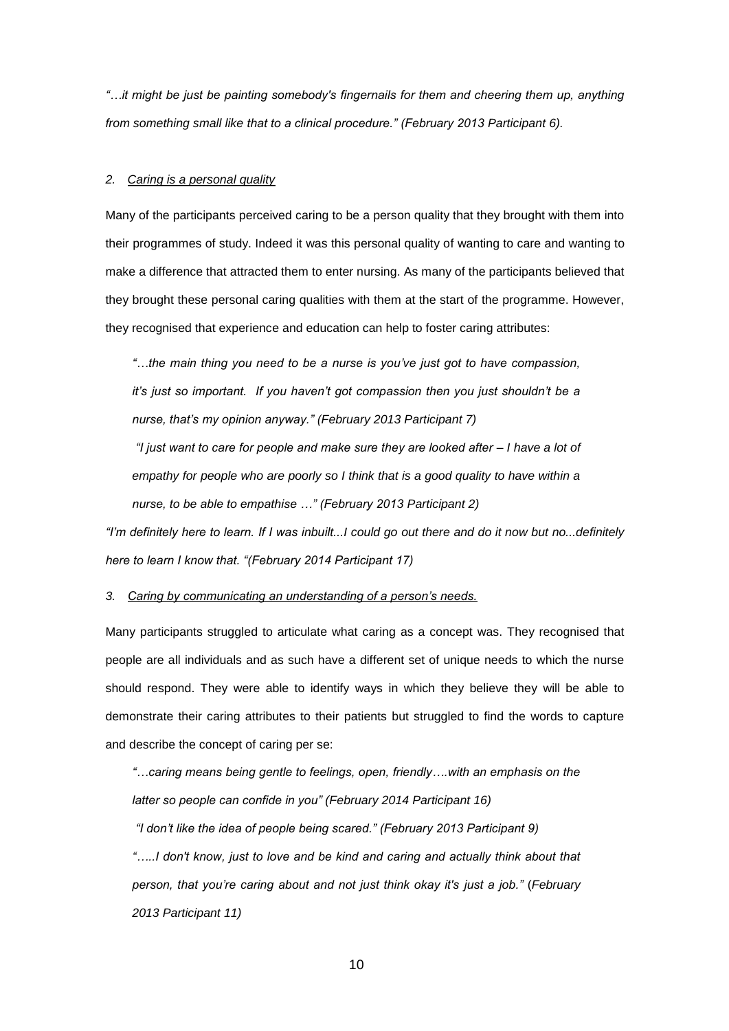*"…it might be just be painting somebody's fingernails for them and cheering them up, anything from something small like that to a clinical procedure." (February 2013 Participant 6).*

## *2. Caring is a personal quality*

Many of the participants perceived caring to be a person quality that they brought with them into their programmes of study. Indeed it was this personal quality of wanting to care and wanting to make a difference that attracted them to enter nursing. As many of the participants believed that they brought these personal caring qualities with them at the start of the programme. However, they recognised that experience and education can help to foster caring attributes:

*"…the main thing you need to be a nurse is you've just got to have compassion, it's just so important. If you haven't got compassion then you just shouldn't be a nurse, that's my opinion anyway." (February 2013 Participant 7)*

*"I just want to care for people and make sure they are looked after – I have a lot of*  empathy for people who are poorly so I think that is a good quality to have within a *nurse, to be able to empathise …" (February 2013 Participant 2)*

*"I'm definitely here to learn. If I was inbuilt...I could go out there and do it now but no...definitely here to learn I know that. "(February 2014 Participant 17)*

*3. Caring by communicating an understanding of a person's needs.*

Many participants struggled to articulate what caring as a concept was. They recognised that people are all individuals and as such have a different set of unique needs to which the nurse should respond. They were able to identify ways in which they believe they will be able to demonstrate their caring attributes to their patients but struggled to find the words to capture and describe the concept of caring per se:

*"…caring means being gentle to feelings, open, friendly….with an emphasis on the latter so people can confide in you" (February 2014 Participant 16) "I don't like the idea of people being scared." (February 2013 Participant 9)*

*"…..I don't know, just to love and be kind and caring and actually think about that person, that you're caring about and not just think okay it's just a job."* (*February 2013 Participant 11)*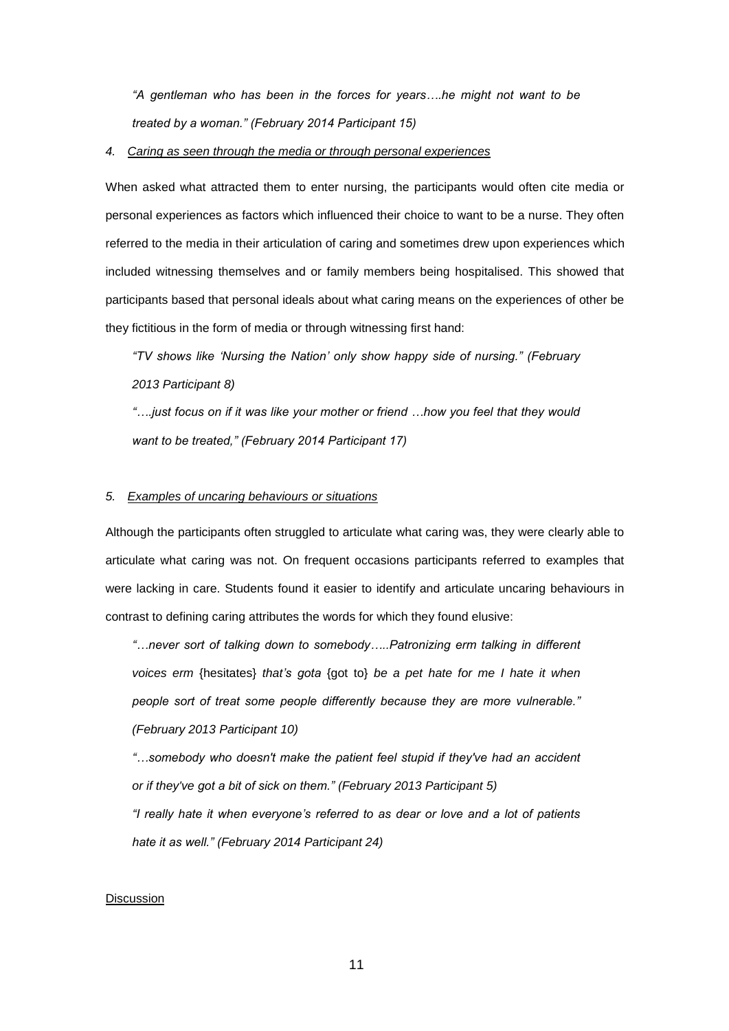*"A gentleman who has been in the forces for years….he might not want to be treated by a woman." (February 2014 Participant 15)*

### *4. Caring as seen through the media or through personal experiences*

When asked what attracted them to enter nursing, the participants would often cite media or personal experiences as factors which influenced their choice to want to be a nurse. They often referred to the media in their articulation of caring and sometimes drew upon experiences which included witnessing themselves and or family members being hospitalised. This showed that participants based that personal ideals about what caring means on the experiences of other be they fictitious in the form of media or through witnessing first hand:

*"TV shows like 'Nursing the Nation' only show happy side of nursing." (February 2013 Participant 8)*

*"….just focus on if it was like your mother or friend …how you feel that they would want to be treated," (February 2014 Participant 17)*

#### *5. Examples of uncaring behaviours or situations*

Although the participants often struggled to articulate what caring was, they were clearly able to articulate what caring was not. On frequent occasions participants referred to examples that were lacking in care. Students found it easier to identify and articulate uncaring behaviours in contrast to defining caring attributes the words for which they found elusive:

*"…never sort of talking down to somebody…..Patronizing erm talking in different voices erm* {hesitates} *that's gota* {got to} *be a pet hate for me I hate it when people sort of treat some people differently because they are more vulnerable." (February 2013 Participant 10)*

*"…somebody who doesn't make the patient feel stupid if they've had an accident or if they've got a bit of sick on them." (February 2013 Participant 5) "I really hate it when everyone's referred to as dear or love and a lot of patients* 

*hate it as well." (February 2014 Participant 24)*

### Discussion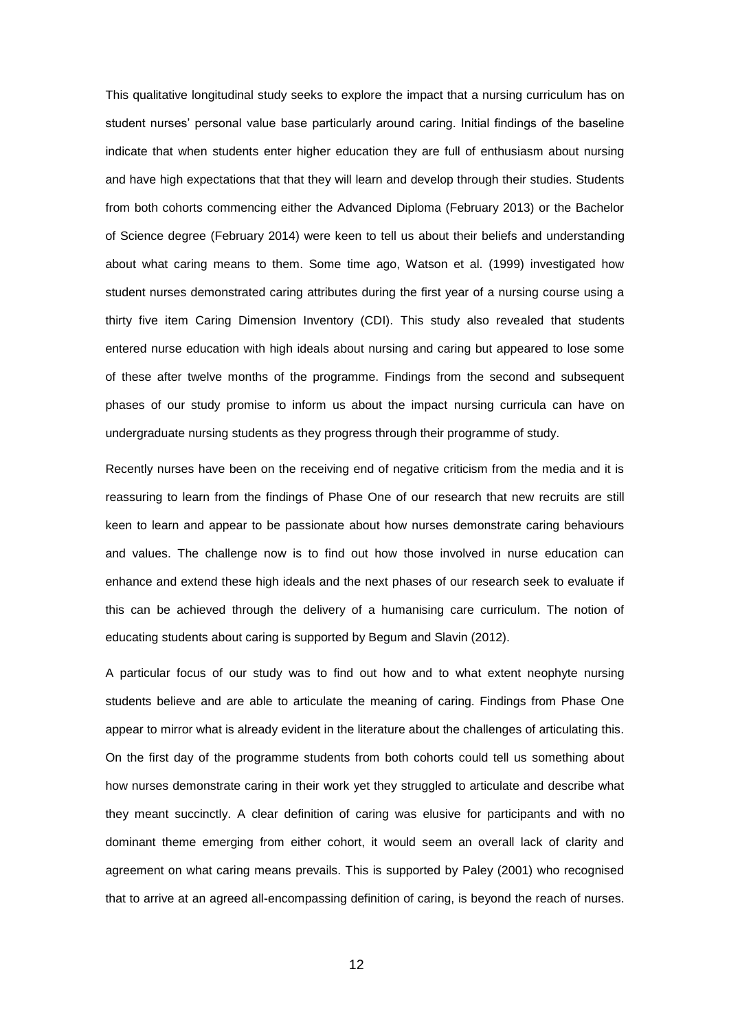This qualitative longitudinal study seeks to explore the impact that a nursing curriculum has on student nurses' personal value base particularly around caring. Initial findings of the baseline indicate that when students enter higher education they are full of enthusiasm about nursing and have high expectations that that they will learn and develop through their studies. Students from both cohorts commencing either the Advanced Diploma (February 2013) or the Bachelor of Science degree (February 2014) were keen to tell us about their beliefs and understanding about what caring means to them. Some time ago, Watson et al. (1999) investigated how student nurses demonstrated caring attributes during the first year of a nursing course using a thirty five item Caring Dimension Inventory (CDI). This study also revealed that students entered nurse education with high ideals about nursing and caring but appeared to lose some of these after twelve months of the programme. Findings from the second and subsequent phases of our study promise to inform us about the impact nursing curricula can have on undergraduate nursing students as they progress through their programme of study.

Recently nurses have been on the receiving end of negative criticism from the media and it is reassuring to learn from the findings of Phase One of our research that new recruits are still keen to learn and appear to be passionate about how nurses demonstrate caring behaviours and values. The challenge now is to find out how those involved in nurse education can enhance and extend these high ideals and the next phases of our research seek to evaluate if this can be achieved through the delivery of a humanising care curriculum. The notion of educating students about caring is supported by Begum and Slavin (2012).

A particular focus of our study was to find out how and to what extent neophyte nursing students believe and are able to articulate the meaning of caring. Findings from Phase One appear to mirror what is already evident in the literature about the challenges of articulating this. On the first day of the programme students from both cohorts could tell us something about how nurses demonstrate caring in their work yet they struggled to articulate and describe what they meant succinctly. A clear definition of caring was elusive for participants and with no dominant theme emerging from either cohort, it would seem an overall lack of clarity and agreement on what caring means prevails. This is supported by Paley (2001) who recognised that to arrive at an agreed all-encompassing definition of caring, is beyond the reach of nurses.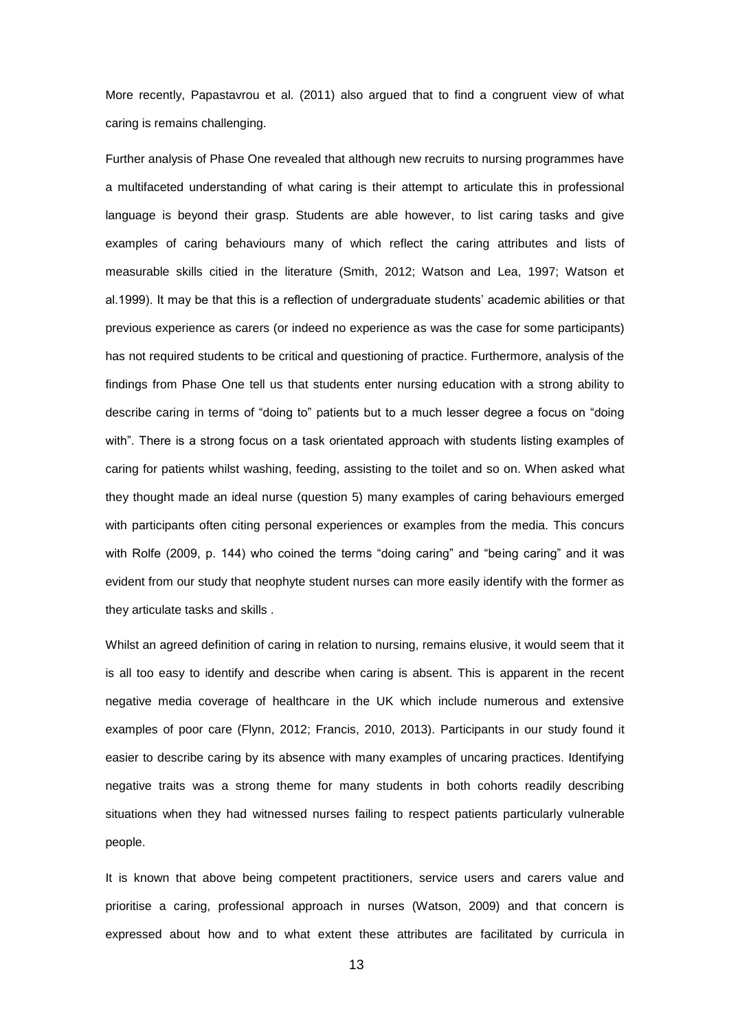More recently, Papastavrou et al. (2011) also argued that to find a congruent view of what caring is remains challenging.

Further analysis of Phase One revealed that although new recruits to nursing programmes have a multifaceted understanding of what caring is their attempt to articulate this in professional language is beyond their grasp. Students are able however, to list caring tasks and give examples of caring behaviours many of which reflect the caring attributes and lists of measurable skills citied in the literature (Smith, 2012; Watson and Lea, 1997; Watson et al.1999). It may be that this is a reflection of undergraduate students' academic abilities or that previous experience as carers (or indeed no experience as was the case for some participants) has not required students to be critical and questioning of practice. Furthermore, analysis of the findings from Phase One tell us that students enter nursing education with a strong ability to describe caring in terms of "doing to" patients but to a much lesser degree a focus on "doing with". There is a strong focus on a task orientated approach with students listing examples of caring for patients whilst washing, feeding, assisting to the toilet and so on. When asked what they thought made an ideal nurse (question 5) many examples of caring behaviours emerged with participants often citing personal experiences or examples from the media. This concurs with Rolfe (2009, p. 144) who coined the terms "doing caring" and "being caring" and it was evident from our study that neophyte student nurses can more easily identify with the former as they articulate tasks and skills .

Whilst an agreed definition of caring in relation to nursing, remains elusive, it would seem that it is all too easy to identify and describe when caring is absent. This is apparent in the recent negative media coverage of healthcare in the UK which include numerous and extensive examples of poor care (Flynn, 2012; Francis, 2010, 2013). Participants in our study found it easier to describe caring by its absence with many examples of uncaring practices. Identifying negative traits was a strong theme for many students in both cohorts readily describing situations when they had witnessed nurses failing to respect patients particularly vulnerable people.

It is known that above being competent practitioners, service users and carers value and prioritise a caring, professional approach in nurses (Watson, 2009) and that concern is expressed about how and to what extent these attributes are facilitated by curricula in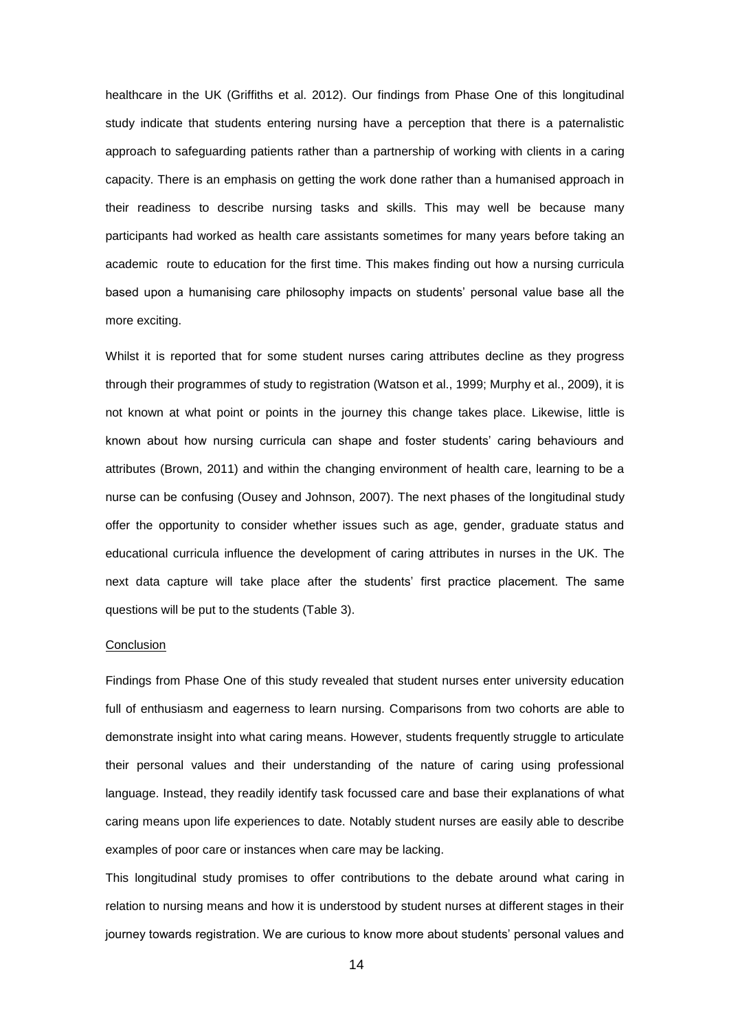healthcare in the UK (Griffiths et al. 2012). Our findings from Phase One of this longitudinal study indicate that students entering nursing have a perception that there is a paternalistic approach to safeguarding patients rather than a partnership of working with clients in a caring capacity. There is an emphasis on getting the work done rather than a humanised approach in their readiness to describe nursing tasks and skills. This may well be because many participants had worked as health care assistants sometimes for many years before taking an academic route to education for the first time. This makes finding out how a nursing curricula based upon a humanising care philosophy impacts on students' personal value base all the more exciting.

Whilst it is reported that for some student nurses caring attributes decline as they progress through their programmes of study to registration (Watson et al., 1999; Murphy et al., 2009), it is not known at what point or points in the journey this change takes place. Likewise, little is known about how nursing curricula can shape and foster students' caring behaviours and attributes (Brown, 2011) and within the changing environment of health care, learning to be a nurse can be confusing (Ousey and Johnson, 2007). The next phases of the longitudinal study offer the opportunity to consider whether issues such as age, gender, graduate status and educational curricula influence the development of caring attributes in nurses in the UK. The next data capture will take place after the students' first practice placement. The same questions will be put to the students (Table 3).

#### **Conclusion**

Findings from Phase One of this study revealed that student nurses enter university education full of enthusiasm and eagerness to learn nursing. Comparisons from two cohorts are able to demonstrate insight into what caring means. However, students frequently struggle to articulate their personal values and their understanding of the nature of caring using professional language. Instead, they readily identify task focussed care and base their explanations of what caring means upon life experiences to date. Notably student nurses are easily able to describe examples of poor care or instances when care may be lacking.

This longitudinal study promises to offer contributions to the debate around what caring in relation to nursing means and how it is understood by student nurses at different stages in their journey towards registration. We are curious to know more about students' personal values and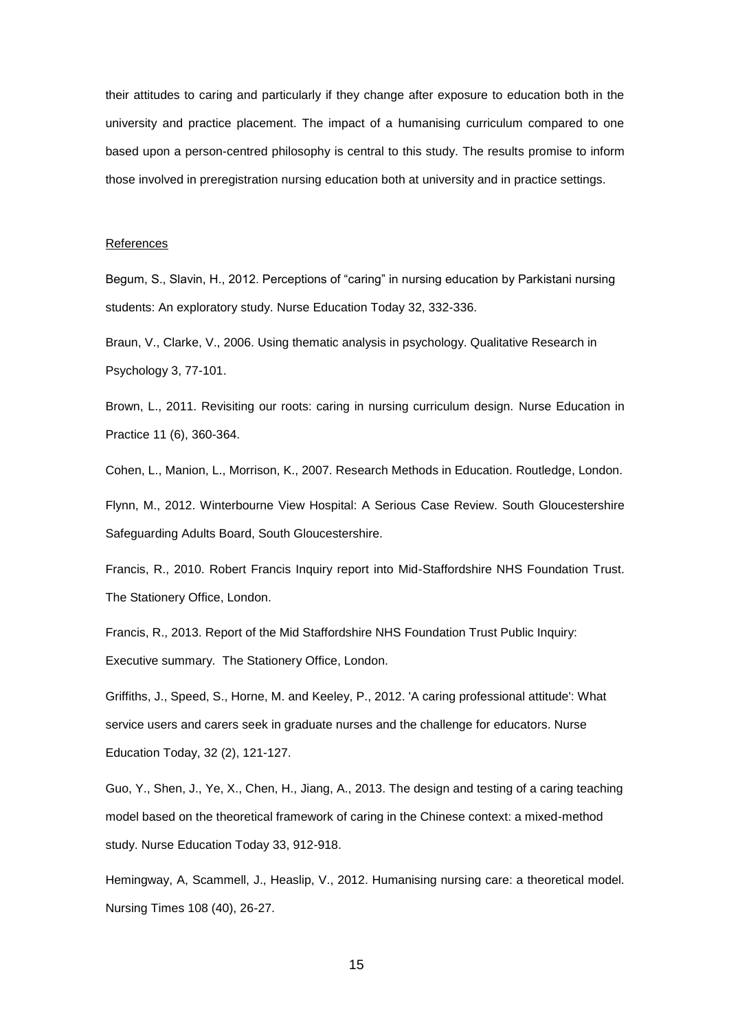their attitudes to caring and particularly if they change after exposure to education both in the university and practice placement. The impact of a humanising curriculum compared to one based upon a person-centred philosophy is central to this study. The results promise to inform those involved in preregistration nursing education both at university and in practice settings.

#### References

Begum, S., Slavin, H., 2012. Perceptions of "caring" in nursing education by Parkistani nursing students: An exploratory study. Nurse Education Today 32, 332-336.

Braun, V., Clarke, V., 2006. Using thematic analysis in psychology. Qualitative Research in Psychology 3, 77-101.

Brown, L., 2011. Revisiting our roots: caring in nursing curriculum design. Nurse Education in Practice 11 (6), 360-364.

Cohen, L., Manion, L., Morrison, K., 2007. Research Methods in Education. Routledge, London.

Flynn, M., 2012. Winterbourne View Hospital: A Serious Case Review. South Gloucestershire Safeguarding Adults Board, South Gloucestershire.

Francis, R., 2010. Robert Francis Inquiry report into Mid-Staffordshire NHS Foundation Trust. The Stationery Office, London.

Francis, R., 2013. Report of the Mid Staffordshire NHS Foundation Trust Public Inquiry: Executive summary. The Stationery Office, London.

Griffiths, J., Speed, S., Horne, M. and Keeley, P., 2012. 'A caring professional attitude': What service users and carers seek in graduate nurses and the challenge for educators. Nurse Education Today, 32 (2), 121-127.

Guo, Y., Shen, J., Ye, X., Chen, H., Jiang, A., 2013. The design and testing of a caring teaching model based on the theoretical framework of caring in the Chinese context: a mixed-method study. Nurse Education Today 33, 912-918.

Hemingway, A, Scammell, J., Heaslip, V., 2012. Humanising nursing care: a theoretical model. Nursing Times 108 (40), 26-27.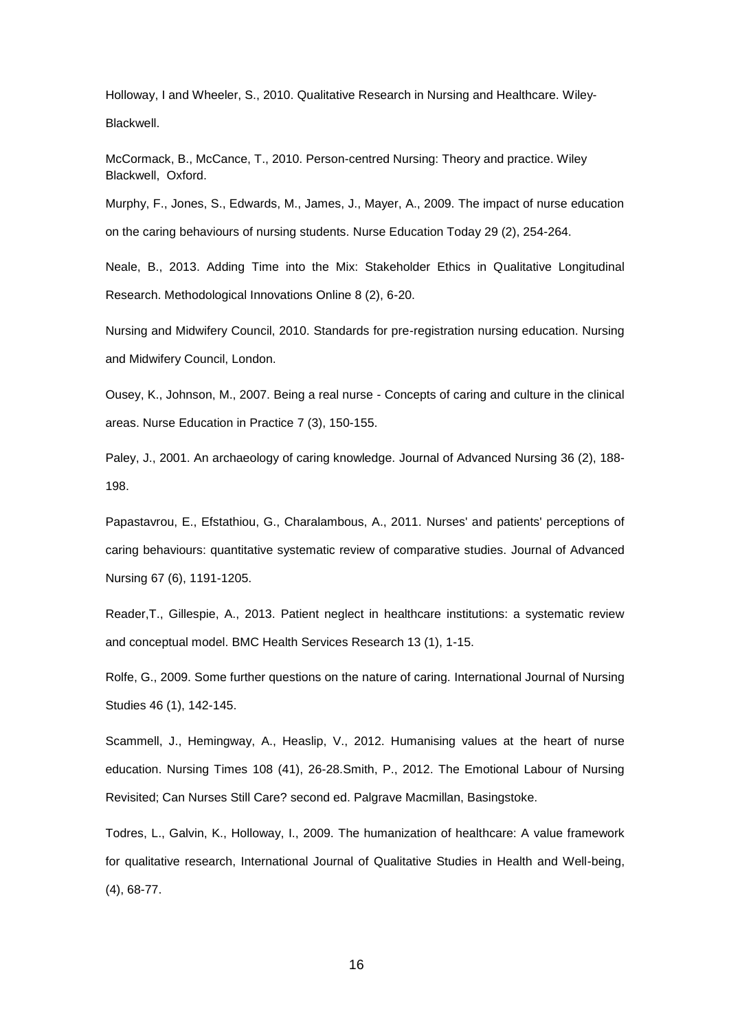Holloway, I and Wheeler, S., 2010. Qualitative Research in Nursing and Healthcare. Wiley-Blackwell.

McCormack, B., McCance, T., 2010. Person-centred Nursing: Theory and practice. Wiley Blackwell, Oxford.

Murphy, F., Jones, S., Edwards, M., James, J., Mayer, A., 2009. The impact of nurse education on the caring behaviours of nursing students. Nurse Education Today 29 (2), 254-264.

Neale, B., 2013. Adding Time into the Mix: Stakeholder Ethics in Qualitative Longitudinal Research. Methodological Innovations Online 8 (2), 6-20.

Nursing and Midwifery Council, 2010. Standards for pre-registration nursing education. Nursing and Midwifery Council, London.

Ousey, K., Johnson, M., 2007. Being a real nurse - Concepts of caring and culture in the clinical areas. Nurse Education in Practice 7 (3), 150-155.

Paley, J., 2001. An archaeology of caring knowledge. Journal of Advanced Nursing 36 (2), 188- 198.

Papastavrou, E., Efstathiou, G., Charalambous, A., 2011. Nurses' and patients' perceptions of caring behaviours: quantitative systematic review of comparative studies. Journal of Advanced Nursing 67 (6), 1191-1205.

Reader,T., Gillespie, A., 2013. Patient neglect in healthcare institutions: a systematic review and conceptual model. BMC Health Services Research 13 (1), 1-15.

Rolfe, G., 2009. Some further questions on the nature of caring. International Journal of Nursing Studies 46 (1), 142-145.

Scammell, J., Hemingway, A., Heaslip, V., 2012. Humanising values at the heart of nurse education. Nursing Times 108 (41), 26-28.Smith, P., 2012. The Emotional Labour of Nursing Revisited; Can Nurses Still Care? second ed. Palgrave Macmillan, Basingstoke.

Todres, L., Galvin, K., Holloway, I., 2009. The humanization of healthcare: A value framework for qualitative research, International Journal of Qualitative Studies in Health and Well-being, (4), 68-77.